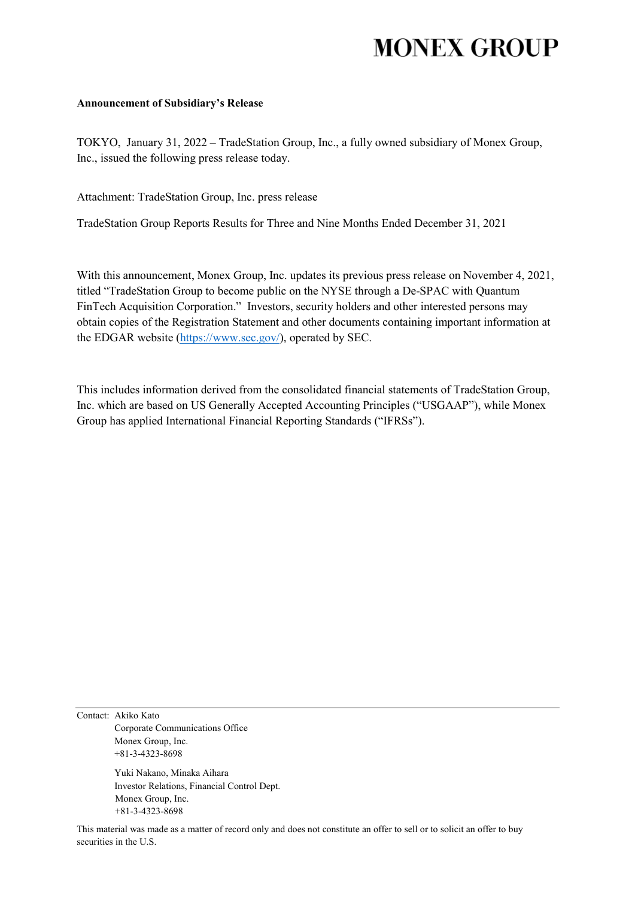# **MONEX GROUP**

#### **Announcement of Subsidiary's Release**

TOKYO, January 31, 2022 – TradeStation Group, Inc., a fully owned subsidiary of Monex Group, Inc., issued the following press release today.

Attachment: TradeStation Group, Inc. press release

TradeStation Group Reports Results for Three and Nine Months Ended December 31, 2021

With this announcement, Monex Group, Inc. updates its previous press release on November 4, 2021, titled "TradeStation Group to become public on the NYSE through a De-SPAC with Quantum FinTech Acquisition Corporation." Investors, security holders and other interested persons may obtain copies of the Registration Statement and other documents containing important information at the EDGAR website [\(https://www.sec.gov/\)](https://www.sec.gov/), operated by SEC.

This includes information derived from the consolidated financial statements of TradeStation Group, Inc. which are based on US Generally Accepted Accounting Principles ("USGAAP"), while Monex Group has applied International Financial Reporting Standards ("IFRSs").

Contact: Akiko Kato Corporate Communications Office Monex Group, Inc. +81-3-4323-8698

> Yuki Nakano, Minaka Aihara Investor Relations, Financial Control Dept. Monex Group, Inc. +81-3-4323-8698

This material was made as a matter of record only and does not constitute an offer to sell or to solicit an offer to buy securities in the U.S.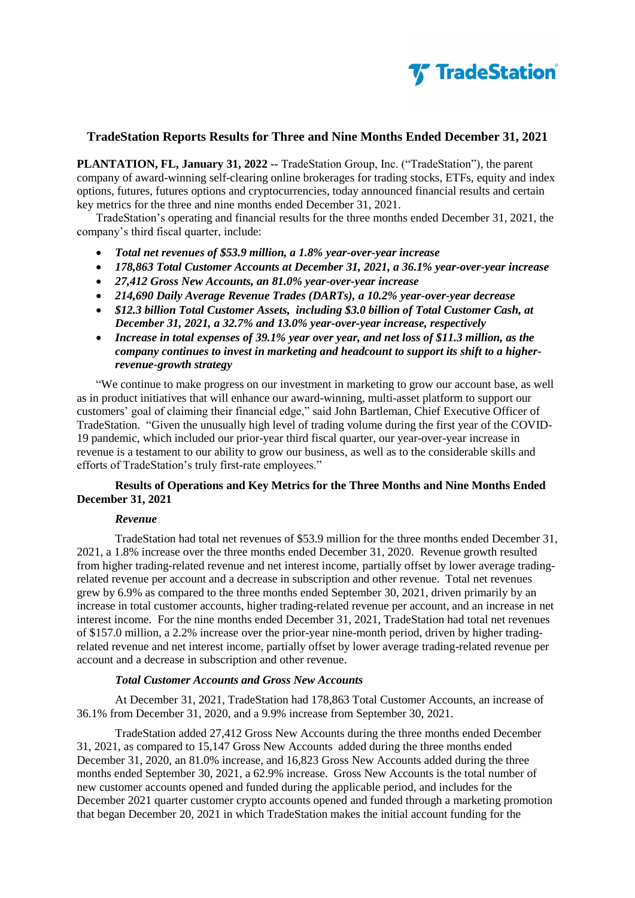

**PLANTATION, FL, January 31, 2022 --** TradeStation Group, Inc. ("TradeStation"), the parent company of award-winning self-clearing online brokerages for trading stocks, ETFs, equity and index options, futures, futures options and cryptocurrencies, today announced financial results and certain key metrics for the three and nine months ended December 31, 2021.

TradeStation's operating and financial results for the three months ended December 31, 2021, the company's third fiscal quarter, include:

- *Total net revenues of \$53.9 million, a 1.8% year-over-year increase*
- *178,863 Total Customer Accounts at December 31, 2021, a 36.1% year-over-year increase*
- *27,412 Gross New Accounts, an 81.0% year-over-year increase*
- *214,690 Daily Average Revenue Trades (DARTs), a 10.2% year-over-year decrease*
- *\$12.3 billion Total Customer Assets, including \$3.0 billion of Total Customer Cash, at December 31, 2021, a 32.7% and 13.0% year-over-year increase, respectively*
- *Increase in total expenses of 39.1% year over year, and net loss of \$11.3 million, as the company continues to invest in marketing and headcount to support its shift to a higherrevenue-growth strategy*

"We continue to make progress on our investment in marketing to grow our account base, as well as in product initiatives that will enhance our award-winning, multi-asset platform to support our customers' goal of claiming their financial edge," said John Bartleman, Chief Executive Officer of TradeStation. "Given the unusually high level of trading volume during the first year of the COVID-19 pandemic, which included our prior-year third fiscal quarter, our year-over-year increase in revenue is a testament to our ability to grow our business, as well as to the considerable skills and efforts of TradeStation's truly first-rate employees."

# **Results of Operations and Key Metrics for the Three Months and Nine Months Ended December 31, 2021**

#### *Revenue*

TradeStation had total net revenues of \$53.9 million for the three months ended December 31, 2021, a 1.8% increase over the three months ended December 31, 2020. Revenue growth resulted from higher trading-related revenue and net interest income, partially offset by lower average tradingrelated revenue per account and a decrease in subscription and other revenue. Total net revenues grew by 6.9% as compared to the three months ended September 30, 2021, driven primarily by an increase in total customer accounts, higher trading-related revenue per account, and an increase in net interest income. For the nine months ended December 31, 2021, TradeStation had total net revenues of \$157.0 million, a 2.2% increase over the prior-year nine-month period, driven by higher tradingrelated revenue and net interest income, partially offset by lower average trading-related revenue per account and a decrease in subscription and other revenue.

#### *Total Customer Accounts and Gross New Accounts*

At December 31, 2021, TradeStation had 178,863 Total Customer Accounts, an increase of 36.1% from December 31, 2020, and a 9.9% increase from September 30, 2021.

TradeStation added 27,412 Gross New Accounts during the three months ended December 31, 2021, as compared to 15,147 Gross New Accounts added during the three months ended December 31, 2020, an 81.0% increase, and 16,823 Gross New Accounts added during the three months ended September 30, 2021, a 62.9% increase. Gross New Accounts is the total number of new customer accounts opened and funded during the applicable period, and includes for the December 2021 quarter customer crypto accounts opened and funded through a marketing promotion that began December 20, 2021 in which TradeStation makes the initial account funding for the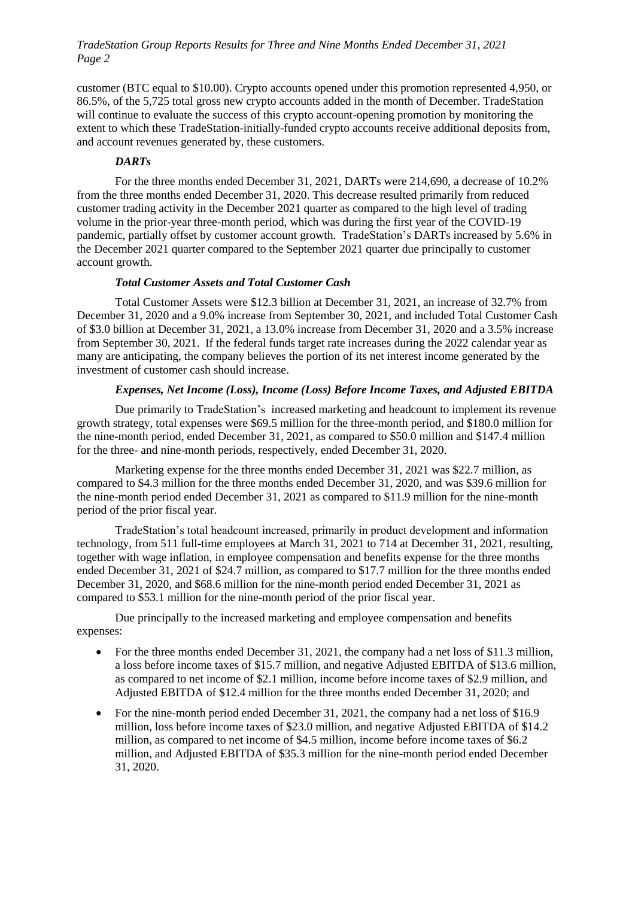customer (BTC equal to \$10.00). Crypto accounts opened under this promotion represented 4,950, or 86.5%, of the 5,725 total gross new crypto accounts added in the month of December. TradeStation will continue to evaluate the success of this crypto account-opening promotion by monitoring the extent to which these TradeStation-initially-funded crypto accounts receive additional deposits from, and account revenues generated by, these customers.

# *DARTs*

For the three months ended December 31, 2021, DARTs were 214,690, a decrease of 10.2% from the three months ended December 31, 2020. This decrease resulted primarily from reduced customer trading activity in the December 2021 quarter as compared to the high level of trading volume in the prior-year three-month period, which was during the first year of the COVID-19 pandemic, partially offset by customer account growth. TradeStation's DARTs increased by 5.6% in the December 2021 quarter compared to the September 2021 quarter due principally to customer account growth.

## *Total Customer Assets and Total Customer Cash*

Total Customer Assets were \$12.3 billion at December 31, 2021, an increase of 32.7% from December 31, 2020 and a 9.0% increase from September 30, 2021, and included Total Customer Cash of \$3.0 billion at December 31, 2021, a 13.0% increase from December 31, 2020 and a 3.5% increase from September 30, 2021. If the federal funds target rate increases during the 2022 calendar year as many are anticipating, the company believes the portion of its net interest income generated by the investment of customer cash should increase.

## *Expenses, Net Income (Loss), Income (Loss) Before Income Taxes, and Adjusted EBITDA*

Due primarily to TradeStation's increased marketing and headcount to implement its revenue growth strategy, total expenses were \$69.5 million for the three-month period, and \$180.0 million for the nine-month period, ended December 31, 2021, as compared to \$50.0 million and \$147.4 million for the three- and nine-month periods, respectively, ended December 31, 2020.

Marketing expense for the three months ended December 31, 2021 was \$22.7 million, as compared to \$4.3 million for the three months ended December 31, 2020, and was \$39.6 million for the nine-month period ended December 31, 2021 as compared to \$11.9 million for the nine-month period of the prior fiscal year.

TradeStation's total headcount increased, primarily in product development and information technology, from 511 full-time employees at March 31, 2021 to 714 at December 31, 2021, resulting, together with wage inflation, in employee compensation and benefits expense for the three months ended December 31, 2021 of \$24.7 million, as compared to \$17.7 million for the three months ended December 31, 2020, and \$68.6 million for the nine-month period ended December 31, 2021 as compared to \$53.1 million for the nine-month period of the prior fiscal year.

Due principally to the increased marketing and employee compensation and benefits expenses:

- For the three months ended December 31, 2021, the company had a net loss of \$11.3 million, a loss before income taxes of \$15.7 million, and negative Adjusted EBITDA of \$13.6 million, as compared to net income of \$2.1 million, income before income taxes of \$2.9 million, and Adjusted EBITDA of \$12.4 million for the three months ended December 31, 2020; and
- For the nine-month period ended December 31, 2021, the company had a net loss of  $$16.9$ million, loss before income taxes of \$23.0 million, and negative Adjusted EBITDA of \$14.2 million, as compared to net income of \$4.5 million, income before income taxes of \$6.2 million, and Adjusted EBITDA of \$35.3 million for the nine-month period ended December 31, 2020.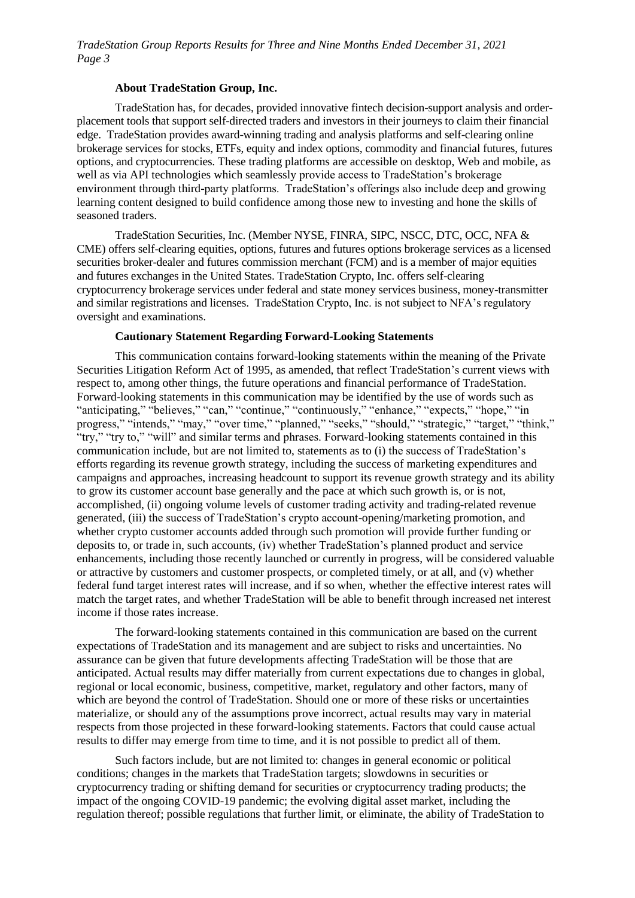## **About TradeStation Group, Inc.**

TradeStation has, for decades, provided innovative fintech decision-support analysis and orderplacement tools that support self-directed traders and investors in their journeys to claim their financial edge. TradeStation provides award-winning trading and analysis platforms and self-clearing online brokerage services for stocks, ETFs, equity and index options, commodity and financial futures, futures options, and cryptocurrencies. These trading platforms are accessible on desktop, Web and mobile, as well as via API technologies which seamlessly provide access to TradeStation's brokerage environment through third-party platforms. TradeStation's offerings also include deep and growing learning content designed to build confidence among those new to investing and hone the skills of seasoned traders.

TradeStation Securities, Inc. (Member NYSE, FINRA, SIPC, NSCC, DTC, OCC, NFA & CME) offers self-clearing equities, options, futures and futures options brokerage services as a licensed securities broker-dealer and futures commission merchant (FCM) and is a member of major equities and futures exchanges in the United States. TradeStation Crypto, Inc. offers self-clearing cryptocurrency brokerage services under federal and state money services business, money-transmitter and similar registrations and licenses. TradeStation Crypto, Inc. is not subject to NFA's regulatory oversight and examinations.

#### **Cautionary Statement Regarding Forward-Looking Statements**

This communication contains forward-looking statements within the meaning of the Private Securities Litigation Reform Act of 1995, as amended, that reflect TradeStation's current views with respect to, among other things, the future operations and financial performance of TradeStation. Forward-looking statements in this communication may be identified by the use of words such as "anticipating," "believes," "can," "continue," "continuously," "enhance," "expects," "hope," "in progress," "intends," "may," "over time," "planned," "seeks," "should," "strategic," "target," "think," "try," "try to," "will" and similar terms and phrases. Forward-looking statements contained in this communication include, but are not limited to, statements as to (i) the success of TradeStation's efforts regarding its revenue growth strategy, including the success of marketing expenditures and campaigns and approaches, increasing headcount to support its revenue growth strategy and its ability to grow its customer account base generally and the pace at which such growth is, or is not, accomplished, (ii) ongoing volume levels of customer trading activity and trading-related revenue generated, (iii) the success of TradeStation's crypto account-opening/marketing promotion, and whether crypto customer accounts added through such promotion will provide further funding or deposits to, or trade in, such accounts, (iv) whether TradeStation's planned product and service enhancements, including those recently launched or currently in progress, will be considered valuable or attractive by customers and customer prospects, or completed timely, or at all, and (v) whether federal fund target interest rates will increase, and if so when, whether the effective interest rates will match the target rates, and whether TradeStation will be able to benefit through increased net interest income if those rates increase.

The forward-looking statements contained in this communication are based on the current expectations of TradeStation and its management and are subject to risks and uncertainties. No assurance can be given that future developments affecting TradeStation will be those that are anticipated. Actual results may differ materially from current expectations due to changes in global, regional or local economic, business, competitive, market, regulatory and other factors, many of which are beyond the control of TradeStation. Should one or more of these risks or uncertainties materialize, or should any of the assumptions prove incorrect, actual results may vary in material respects from those projected in these forward-looking statements. Factors that could cause actual results to differ may emerge from time to time, and it is not possible to predict all of them.

Such factors include, but are not limited to: changes in general economic or political conditions; changes in the markets that TradeStation targets; slowdowns in securities or cryptocurrency trading or shifting demand for securities or cryptocurrency trading products; the impact of the ongoing COVID-19 pandemic; the evolving digital asset market, including the regulation thereof; possible regulations that further limit, or eliminate, the ability of TradeStation to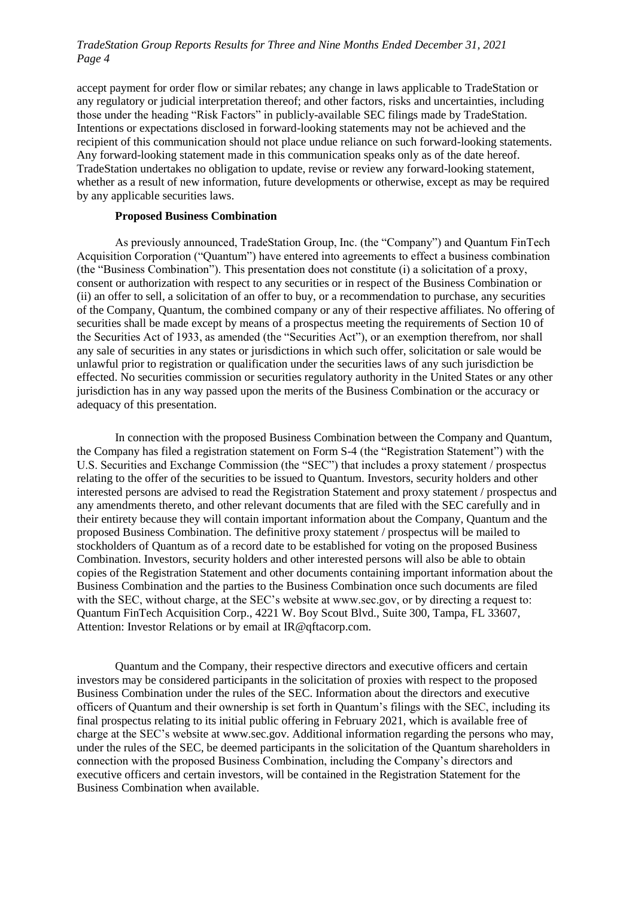accept payment for order flow or similar rebates; any change in laws applicable to TradeStation or any regulatory or judicial interpretation thereof; and other factors, risks and uncertainties, including those under the heading "Risk Factors" in publicly-available SEC filings made by TradeStation. Intentions or expectations disclosed in forward-looking statements may not be achieved and the recipient of this communication should not place undue reliance on such forward-looking statements. Any forward-looking statement made in this communication speaks only as of the date hereof. TradeStation undertakes no obligation to update, revise or review any forward-looking statement, whether as a result of new information, future developments or otherwise, except as may be required by any applicable securities laws.

#### **Proposed Business Combination**

As previously announced, TradeStation Group, Inc. (the "Company") and Quantum FinTech Acquisition Corporation ("Quantum") have entered into agreements to effect a business combination (the "Business Combination"). This presentation does not constitute (i) a solicitation of a proxy, consent or authorization with respect to any securities or in respect of the Business Combination or (ii) an offer to sell, a solicitation of an offer to buy, or a recommendation to purchase, any securities of the Company, Quantum, the combined company or any of their respective affiliates. No offering of securities shall be made except by means of a prospectus meeting the requirements of Section 10 of the Securities Act of 1933, as amended (the "Securities Act"), or an exemption therefrom, nor shall any sale of securities in any states or jurisdictions in which such offer, solicitation or sale would be unlawful prior to registration or qualification under the securities laws of any such jurisdiction be effected. No securities commission or securities regulatory authority in the United States or any other jurisdiction has in any way passed upon the merits of the Business Combination or the accuracy or adequacy of this presentation.

In connection with the proposed Business Combination between the Company and Quantum, the Company has filed a registration statement on Form S-4 (the "Registration Statement") with the U.S. Securities and Exchange Commission (the "SEC") that includes a proxy statement / prospectus relating to the offer of the securities to be issued to Quantum. Investors, security holders and other interested persons are advised to read the Registration Statement and proxy statement / prospectus and any amendments thereto, and other relevant documents that are filed with the SEC carefully and in their entirety because they will contain important information about the Company, Quantum and the proposed Business Combination. The definitive proxy statement / prospectus will be mailed to stockholders of Quantum as of a record date to be established for voting on the proposed Business Combination. Investors, security holders and other interested persons will also be able to obtain copies of the Registration Statement and other documents containing important information about the Business Combination and the parties to the Business Combination once such documents are filed with the SEC, without charge, at the SEC's website at www.sec.gov, or by directing a request to: Quantum FinTech Acquisition Corp., 4221 W. Boy Scout Blvd., Suite 300, Tampa, FL 33607, Attention: Investor Relations or by email at IR@qftacorp.com.

Quantum and the Company, their respective directors and executive officers and certain investors may be considered participants in the solicitation of proxies with respect to the proposed Business Combination under the rules of the SEC. Information about the directors and executive officers of Quantum and their ownership is set forth in Quantum's filings with the SEC, including its final prospectus relating to its initial public offering in February 2021, which is available free of charge at the SEC's website at www.sec.gov. Additional information regarding the persons who may, under the rules of the SEC, be deemed participants in the solicitation of the Quantum shareholders in connection with the proposed Business Combination, including the Company's directors and executive officers and certain investors, will be contained in the Registration Statement for the Business Combination when available.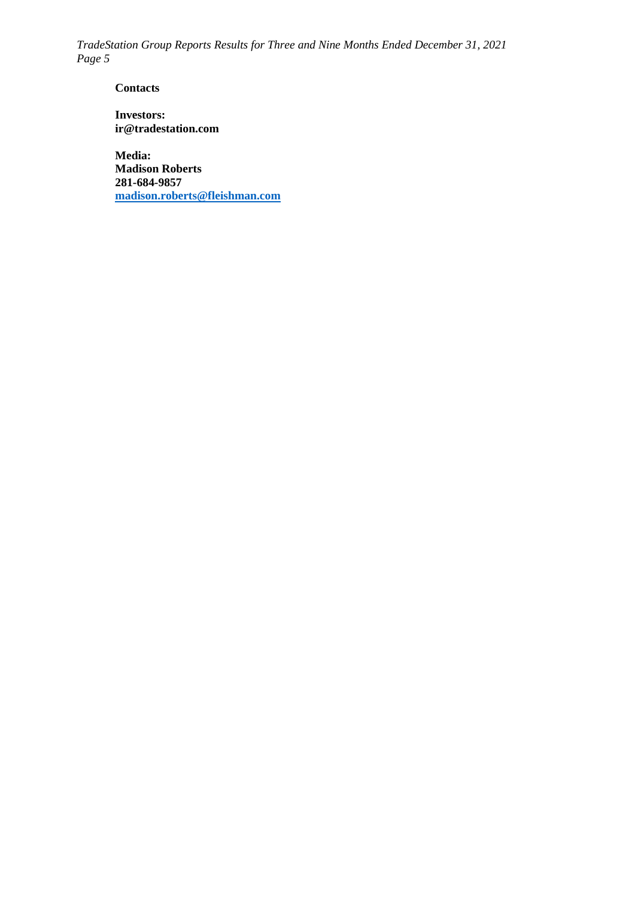**Contacts**

**Investors: ir@tradestation.com**

**Media: Madison Roberts 281-684-9857 [madison.roberts@fleishman.com](mailto:madison.roberts@fleishman.com)**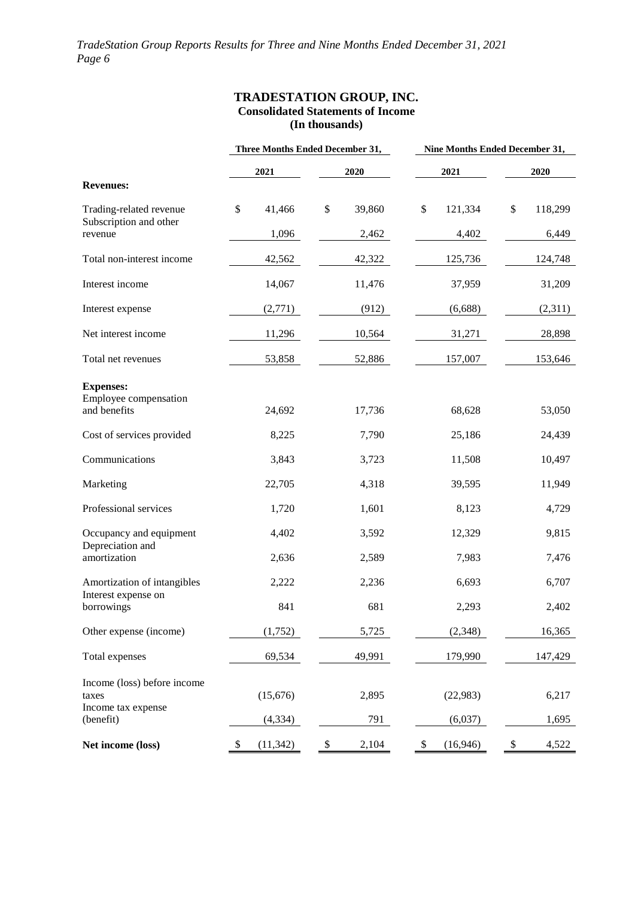## **TRADESTATION GROUP, INC. Consolidated Statements of Income (In thousands)**

|                                                    | Three Months Ended December 31, |    | Nine Months Ended December 31, |    |           |    |         |  |
|----------------------------------------------------|---------------------------------|----|--------------------------------|----|-----------|----|---------|--|
|                                                    | 2021                            |    | 2020                           |    | 2021      |    | 2020    |  |
| <b>Revenues:</b>                                   |                                 |    |                                |    |           |    |         |  |
| Trading-related revenue<br>Subscription and other  | \$<br>41,466                    | \$ | 39,860                         | \$ | 121,334   | \$ | 118,299 |  |
| revenue                                            | 1,096                           |    | 2,462                          |    | 4,402     |    | 6,449   |  |
| Total non-interest income                          | 42,562                          |    | 42,322                         |    | 125,736   |    | 124,748 |  |
| Interest income                                    | 14,067                          |    | 11,476                         |    | 37,959    |    | 31,209  |  |
| Interest expense                                   | (2,771)                         |    | (912)                          |    | (6,688)   |    | (2,311) |  |
| Net interest income                                | 11,296                          |    | 10,564                         |    | 31,271    |    | 28,898  |  |
| Total net revenues                                 | 53,858                          |    | 52,886                         |    | 157,007   |    | 153,646 |  |
| <b>Expenses:</b>                                   |                                 |    |                                |    |           |    |         |  |
| Employee compensation<br>and benefits              | 24,692                          |    | 17,736                         |    | 68,628    |    | 53,050  |  |
| Cost of services provided                          | 8,225                           |    | 7,790                          |    | 25,186    |    | 24,439  |  |
| Communications                                     | 3,843                           |    | 3,723                          |    | 11,508    |    | 10,497  |  |
| Marketing                                          | 22,705                          |    | 4,318                          |    | 39,595    |    | 11,949  |  |
| Professional services                              | 1,720                           |    | 1,601                          |    | 8,123     |    | 4,729   |  |
| Occupancy and equipment<br>Depreciation and        | 4,402                           |    | 3,592                          |    | 12,329    |    | 9,815   |  |
| amortization                                       | 2,636                           |    | 2,589                          |    | 7,983     |    | 7,476   |  |
| Amortization of intangibles<br>Interest expense on | 2,222                           |    | 2,236                          |    | 6,693     |    | 6,707   |  |
| borrowings                                         | 841                             |    | 681                            |    | 2,293     |    | 2,402   |  |
| Other expense (income)                             | (1,752)                         |    | 5,725                          |    | (2,348)   |    | 16,365  |  |
| Total expenses                                     | 69,534                          |    | 49,991                         |    | 179,990   |    | 147,429 |  |
| Income (loss) before income<br>taxes               | (15,676)                        |    | 2,895                          |    | (22, 983) |    | 6,217   |  |
| Income tax expense<br>(benefit)                    | (4, 334)                        |    | 791                            |    | (6,037)   |    | 1,695   |  |
| Net income (loss)                                  | \$<br>(11, 342)                 | \$ | 2,104                          | \$ | (16, 946) | \$ | 4,522   |  |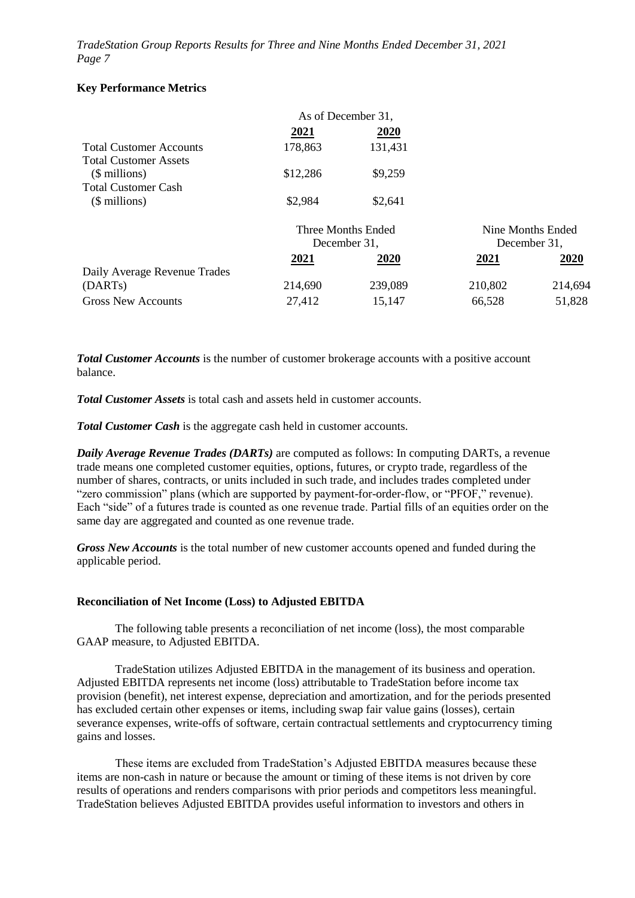## **Key Performance Metrics**

|                                |              | As of December 31, |                   |         |  |
|--------------------------------|--------------|--------------------|-------------------|---------|--|
|                                | 2021         | 2020               |                   |         |  |
| <b>Total Customer Accounts</b> | 178,863      | 131,431            |                   |         |  |
| <b>Total Customer Assets</b>   |              |                    |                   |         |  |
| $$$ millions)                  | \$12,286     | \$9,259            |                   |         |  |
| <b>Total Customer Cash</b>     |              |                    |                   |         |  |
| $$$ millions)                  | \$2,984      | \$2,641            |                   |         |  |
|                                |              | Three Months Ended | Nine Months Ended |         |  |
|                                | December 31, |                    | December 31,      |         |  |
|                                | 2021         | 2020               | 2021              | 2020    |  |
| Daily Average Revenue Trades   |              |                    |                   |         |  |
| (DART <sub>s</sub> )           | 214,690      | 239,089            | 210,802           | 214,694 |  |
| <b>Gross New Accounts</b>      | 27,412       | 15.147             | 66,528            | 51,828  |  |

*Total Customer Accounts* is the number of customer brokerage accounts with a positive account balance.

*Total Customer Assets* is total cash and assets held in customer accounts.

*Total Customer Cash* is the aggregate cash held in customer accounts.

*Daily Average Revenue Trades (DARTs)* are computed as follows: In computing DARTs, a revenue trade means one completed customer equities, options, futures, or crypto trade, regardless of the number of shares, contracts, or units included in such trade, and includes trades completed under "zero commission" plans (which are supported by payment-for-order-flow, or "PFOF," revenue). Each "side" of a futures trade is counted as one revenue trade. Partial fills of an equities order on the same day are aggregated and counted as one revenue trade.

*Gross New Accounts* is the total number of new customer accounts opened and funded during the applicable period.

## **Reconciliation of Net Income (Loss) to Adjusted EBITDA**

The following table presents a reconciliation of net income (loss), the most comparable GAAP measure, to Adjusted EBITDA.

TradeStation utilizes Adjusted EBITDA in the management of its business and operation. Adjusted EBITDA represents net income (loss) attributable to TradeStation before income tax provision (benefit), net interest expense, depreciation and amortization, and for the periods presented has excluded certain other expenses or items, including swap fair value gains (losses), certain severance expenses, write-offs of software, certain contractual settlements and cryptocurrency timing gains and losses.

These items are excluded from TradeStation's Adjusted EBITDA measures because these items are non-cash in nature or because the amount or timing of these items is not driven by core results of operations and renders comparisons with prior periods and competitors less meaningful. TradeStation believes Adjusted EBITDA provides useful information to investors and others in